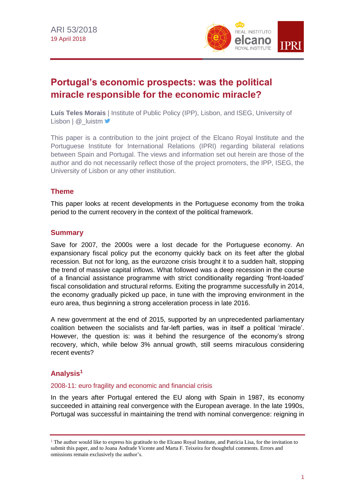

# **Portugal's economic prospects: was the political miracle responsible for the economic miracle?**

**Luís Teles Morais** | Institute of Public Policy (IPP), Lisbon, and ISEG, University of Lisbon | @ | luistm

This paper is a contribution to the joint project of the Elcano Royal Institute and the Portuguese Institute for International Relations (IPRI) regarding bilateral relations between Spain and Portugal. The views and information set out herein are those of the author and do not necessarily reflect those of the project promoters, the IPP, ISEG, the University of Lisbon or any other institution.

## **Theme**

This paper looks at recent developments in the Portuguese economy from the troika period to the current recovery in the context of the political framework.

# **Summary**

Save for 2007, the 2000s were a lost decade for the Portuguese economy. An expansionary fiscal policy put the economy quickly back on its feet after the global recession. But not for long, as the eurozone crisis brought it to a sudden halt, stopping the trend of massive capital inflows. What followed was a deep recession in the course of a financial assistance programme with strict conditionality regarding 'front-loaded' fiscal consolidation and structural reforms. Exiting the programme successfully in 2014, the economy gradually picked up pace, in tune with the improving environment in the euro area, thus beginning a strong acceleration process in late 2016.

A new government at the end of 2015, supported by an unprecedented parliamentary coalition between the socialists and far-left parties, was in itself a political 'miracle'. However, the question is: was it behind the resurgence of the economy's strong recovery, which, while below 3% annual growth, still seems miraculous considering recent events?

# **Analysis<sup>1</sup>**

#### 2008-11: euro fragility and economic and financial crisis

In the years after Portugal entered the EU along with Spain in 1987, its economy succeeded in attaining real convergence with the European average. In the late 1990s, Portugal was successful in maintaining the trend with nominal convergence: reigning in

 $1$ <sup>1</sup> The author would like to express his gratitude to the Elcano Royal Institute, and Patrícia Lisa, for the invitation to submit this paper, and to Joana Andrade Vicente and Marta F. Teixeira for thoughtful comments. Errors and omissions remain exclusively the author's.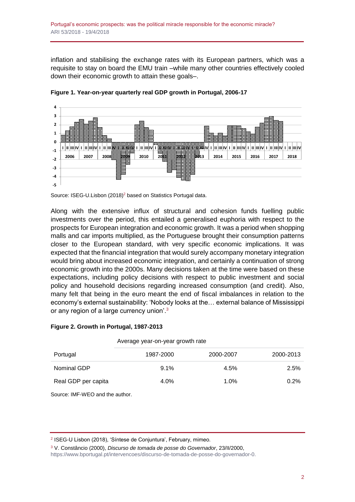inflation and stabilising the exchange rates with its European partners, which was a requisite to stay on board the EMU train –while many other countries effectively cooled down their economic growth to attain these goals–.



**Figure 1. Year-on-year quarterly real GDP growth in Portugal, 2006-17**

Along with the extensive influx of structural and cohesion funds fuelling public investments over the period, this entailed a generalised euphoria with respect to the prospects for European integration and economic growth. It was a period when shopping malls and car imports multiplied, as the Portuguese brought their consumption patterns closer to the European standard, with very specific economic implications. It was expected that the financial integration that would surely accompany monetary integration would bring about increased economic integration, and certainly a continuation of strong economic growth into the 2000s. Many decisions taken at the time were based on these expectations, including policy decisions with respect to public investment and social policy and household decisions regarding increased consumption (and credit). Also, many felt that being in the euro meant the end of fiscal imbalances in relation to the economy's external sustainability: 'Nobody looks at the… external balance of Mississippi or any region of a large currency union'.<sup>3</sup>

#### **Figure 2. Growth in Portugal, 1987-2013**

|                     | Average year-on-year growth rate |           |           |  |
|---------------------|----------------------------------|-----------|-----------|--|
| Portugal            | 1987-2000                        | 2000-2007 | 2000-2013 |  |
| Nominal GDP         | $9.1\%$                          | 4.5%      | 2.5%      |  |
| Real GDP per capita | $4.0\%$                          | $1.0\%$   | 0.2%      |  |

Source: IMF-WEO and the author.

[https://www.bportugal.pt/intervencoes/discurso-de-tomada-de-posse-do-governador-0.](https://www.bportugal.pt/intervencoes/discurso-de-tomada-de-posse-do-governador-0)

Source: ISEG-U.Lisbon (2018)<sup>2</sup> based on Statistics Portugal data.

<sup>2</sup> ISEG-U Lisbon (2018), 'Síntese de Conjuntura', February, mimeo.

<sup>3</sup> V. Constâncio (2000), *Discurso de tomada de posse do Governador*, 23/II/2000,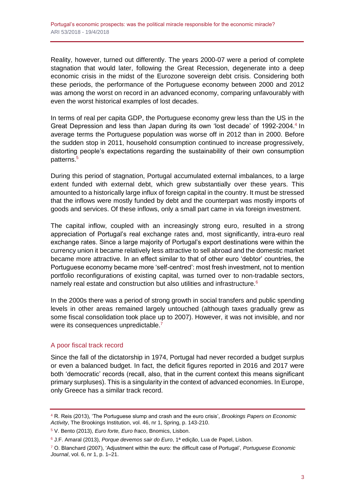Reality, however, turned out differently. The years 2000-07 were a period of complete stagnation that would later, following the Great Recession, degenerate into a deep economic crisis in the midst of the Eurozone sovereign debt crisis. Considering both these periods, the performance of the Portuguese economy between 2000 and 2012 was among the worst on record in an advanced economy, comparing unfavourably with even the worst historical examples of lost decades.

In terms of real per capita GDP, the Portuguese economy grew less than the US in the Great Depression and less than Japan during its own 'lost decade' of 1992-2004.<sup>4</sup> In average terms the Portuguese population was worse off in 2012 than in 2000. Before the sudden stop in 2011, household consumption continued to increase progressively, distorting people's expectations regarding the sustainability of their own consumption patterns.<sup>5</sup>

During this period of stagnation, Portugal accumulated external imbalances, to a large extent funded with external debt, which grew substantially over these years. This amounted to a historically large influx of foreign capital in the country. It must be stressed that the inflows were mostly funded by debt and the counterpart was mostly imports of goods and services. Of these inflows, only a small part came in via foreign investment.

The capital inflow, coupled with an increasingly strong euro, resulted in a strong appreciation of Portugal's real exchange rates and, most significantly, intra-euro real exchange rates. Since a large majority of Portugal's export destinations were within the currency union it became relatively less attractive to sell abroad and the domestic market became more attractive. In an effect similar to that of other euro 'debtor' countries, the Portuguese economy became more 'self-centred': most fresh investment, not to mention portfolio reconfigurations of existing capital, was turned over to non-tradable sectors, namely real estate and construction but also utilities and infrastructure.<sup>6</sup>

In the 2000s there was a period of strong growth in social transfers and public spending levels in other areas remained largely untouched (although taxes gradually grew as some fiscal consolidation took place up to 2007). However, it was not invisible, and nor were its consequences unpredictable.<sup>7</sup>

#### A poor fiscal track record

Since the fall of the dictatorship in 1974, Portugal had never recorded a budget surplus or even a balanced budget. In fact, the deficit figures reported in 2016 and 2017 were both 'democratic' records (recall, also, that in the current context this means significant primary surpluses). This is a singularity in the context of advanced economies. In Europe, only Greece has a similar track record.

<sup>4</sup> R. Reis (2013), 'The Portuguese slump and crash and the euro crisis', *Brookings Papers on Economic Activity*, The Brookings Institution, vol. 46, nr 1, Spring, p. 143-210.

<sup>5</sup> V. Bento (2013), *Euro forte, Euro fraco*, Bnomics, Lisbon.

<sup>6</sup> J.F. Amaral (2013), *Porque devemos sair do Euro*, 1ª edição, Lua de Papel, Lisbon.

<sup>7</sup> O. Blanchard (2007), 'Adjustment within the euro: the difficult case of Portugal', *Portuguese Economic Journal*, vol. 6, nr 1, p. 1–21.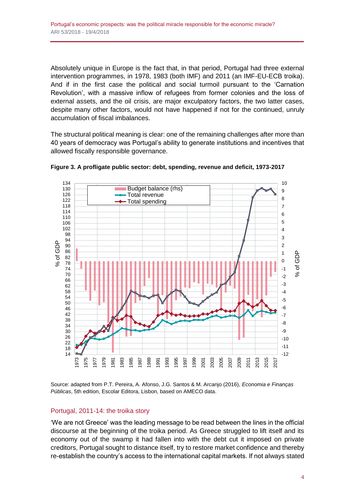Absolutely unique in Europe is the fact that, in that period, Portugal had three external intervention programmes, in 1978, 1983 (both IMF) and 2011 (an IMF-EU-ECB troika). And if in the first case the political and social turmoil pursuant to the 'Carnation Revolution', with a massive inflow of refugees from former colonies and the loss of external assets, and the oil crisis, are major exculpatory factors, the two latter cases, despite many other factors, would not have happened if not for the continued, unruly accumulation of fiscal imbalances.

The structural political meaning is clear: one of the remaining challenges after more than 40 years of democracy was Portugal's ability to generate institutions and incentives that allowed fiscally responsible governance.





Source: adapted from P.T. Pereira, A. Afonso, J.G. Santos & M. Arcanjo (2016), *Economia e Finanças Públicas*, 5th edition, Escolar Editora, Lisbon, based on AMECO data.

#### Portugal, 2011-14: the troika story

'We are not Greece' was the leading message to be read between the lines in the official discourse at the beginning of the troika period. As Greece struggled to lift itself and its economy out of the swamp it had fallen into with the debt cut it imposed on private creditors, Portugal sought to distance itself, try to restore market confidence and thereby re-establish the country's access to the international capital markets. If not always stated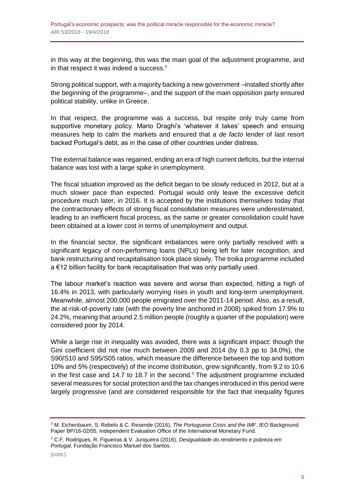in this way at the beginning, this was the main goal of the adjustment programme, and in that respect it was indeed a success. $8$ 

Strong political support, with a majority backing a new government –installed shortly after the beginning of the programme–, and the support of the main opposition party ensured political stability, unlike in Greece.

In that respect, the programme was a success, but respite only truly came from supportive monetary policy. Mario Draghi's 'whatever it takes' speech and ensuing measures help to calm the markets and ensured that a *de facto* lender of last resort backed Portugal's debt, as in the case of other countries under distress.

The external balance was regained, ending an era of high current deficits, but the internal balance was lost with a large spike in unemployment.

The fiscal situation improved as the deficit began to be slowly reduced in 2012, but at a much slower pace than expected. Portugal would only leave the excessive deficit procedure much later, in 2016. It is accepted by the institutions themselves today that the contractionary effects of strong fiscal consolidation measures were underestimated, leading to an inefficient fiscal process, as the same or greater consolidation could have been obtained at a lower cost in terms of unemployment and output.

In the financial sector, the significant imbalances were only partially resolved with a significant legacy of non-performing loans (NPLs) being left for later recognition, and bank restructuring and recapitalisation took place slowly. The troika programme included a €12 billion facility for bank recapitalisation that was only partially used.

The labour market's reaction was severe and worse than expected, hitting a high of 16.4% in 2013, with particularly worrying rises in youth and long-term unemployment. Meanwhile, almost 200,000 people emigrated over the 2011-14 period. Also, as a result, the at-risk-of-poverty rate (with the poverty line anchored in 2008) spiked from 17.9% to 24.2%, meaning that around 2.5 million people (roughly a quarter of the population) were considered poor by 2014.

While a large rise in inequality was avoided, there was a significant impact: though the Gini coefficient did not rise much between 2009 and 2014 (by 0.3 pp to 34.0%), the S90/S10 and S95/S05 ratios, which measure the difference between the top and bottom 10% and 5% (respectively) of the income distribution, grew significantly, from 9.2 to 10.6 in the first case and 14.7 to 18.7 in the second. $9$  The adjustment programme included several measures for social protection and the tax changes introduced in this period were largely progressive (and are considered responsible for the fact that inequality figures

<sup>8</sup> M. Eichenbaum, S. Rebelo & C. Resende (2016), *The Portuguese Crisis and the IMF*, IEO Background Paper BP/16-02/05, Independent Evaluation Office of the International Monetary Fund.

<sup>9</sup> C.F. Rodrigues, R. Figueiras & V. Junqueira (2016), *Desigualdade do rendimento e pobreza em Portugal*, Fundação Francisco Manuel dos Santos.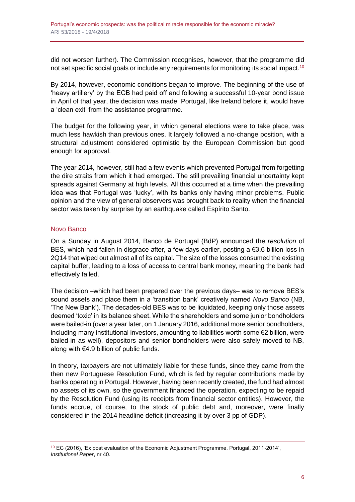did not worsen further). The Commission recognises, however, that the programme did not set specific social goals or include any requirements for monitoring its social impact.<sup>10</sup>

By 2014, however, economic conditions began to improve. The beginning of the use of 'heavy artillery' by the ECB had paid off and following a successful 10-year bond issue in April of that year, the decision was made: Portugal, like Ireland before it, would have a 'clean exit' from the assistance programme.

The budget for the following year, in which general elections were to take place, was much less hawkish than previous ones. It largely followed a no-change position, with a structural adjustment considered optimistic by the European Commission but good enough for approval.

The year 2014, however, still had a few events which prevented Portugal from forgetting the dire straits from which it had emerged. The still prevailing financial uncertainty kept spreads against Germany at high levels. All this occurred at a time when the prevailing idea was that Portugal was 'lucky', with its banks only having minor problems. Public opinion and the view of general observers was brought back to reality when the financial sector was taken by surprise by an earthquake called Espírito Santo.

#### Novo Banco

On a Sunday in August 2014, Banco de Portugal (BdP) announced the *resolution* of BES, which had fallen in disgrace after, a few days earlier, posting a €3.6 billion loss in 2Q14 that wiped out almost all of its capital. The size of the losses consumed the existing capital buffer, leading to a loss of access to central bank money, meaning the bank had effectively failed.

The decision –which had been prepared over the previous days– was to remove BES's sound assets and place them in a 'transition bank' creatively named *Novo Banco* (NB, 'The New Bank'). The decades-old BES was to be liquidated, keeping only those assets deemed 'toxic' in its balance sheet. While the shareholders and some junior bondholders were bailed-in (over a year later, on 1 January 2016, additional more senior bondholders, including many institutional investors, amounting to liabilities worth some €2 billion, were bailed-in as well), depositors and senior bondholders were also safely moved to NB, along with €4.9 billion of public funds.

In theory, taxpayers are not ultimately liable for these funds, since they came from the then new Portuguese Resolution Fund, which is fed by regular contributions made by banks operating in Portugal. However, having been recently created, the fund had almost no assets of its own, so the government financed the operation, expecting to be repaid by the Resolution Fund (using its receipts from financial sector entities). However, the funds accrue, of course, to the stock of public debt and, moreover, were finally considered in the 2014 headline deficit (increasing it by over 3 pp of GDP).

<sup>10</sup> EC (2016), 'Ex post evaluation of the Economic Adjustment Programme. Portugal, 2011-2014', *Institutional Paper*, nr 40.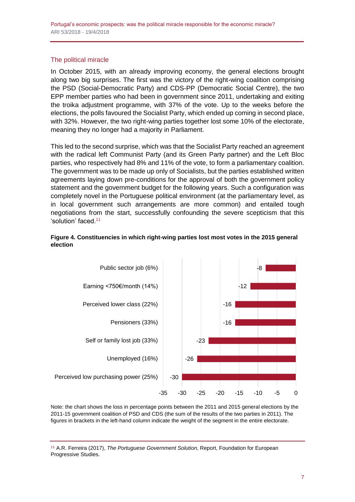## The political miracle

In October 2015, with an already improving economy, the general elections brought along two big surprises. The first was the victory of the right-wing coalition comprising the PSD (Social-Democratic Party) and CDS-PP (Democratic Social Centre), the two EPP member parties who had been in government since 2011, undertaking and exiting the troika adjustment programme, with 37% of the vote. Up to the weeks before the elections, the polls favoured the Socialist Party, which ended up coming in second place, with 32%. However, the two right-wing parties together lost some 10% of the electorate, meaning they no longer had a majority in Parliament.

This led to the second surprise, which was that the Socialist Party reached an agreement with the radical left Communist Party (and its Green Party partner) and the Left Bloc parties, who respectively had 8% and 11% of the vote, to form a parliamentary coalition. The government was to be made up only of Socialists, but the parties established written agreements laying down pre-conditions for the approval of both the government policy statement and the government budget for the following years. Such a configuration was completely novel in the Portuguese political environment (at the parliamentary level, as in local government such arrangements are more common) and entailed tough negotiations from the start, successfully confounding the severe scepticism that this 'solution' faced.<sup>11</sup>





Note: the chart shows the loss in percentage points between the 2011 and 2015 general elections by the 2011-15 government coalition of PSD and CDS (the sum of the results of the two parties in 2011). The figures in brackets in the left-hand column indicate the weight of the segment in the entire electorate.

<sup>11</sup> A.R. Ferreira (2017), *The Portuguese Government Solution*, Report, Foundation for European Progressive Studies.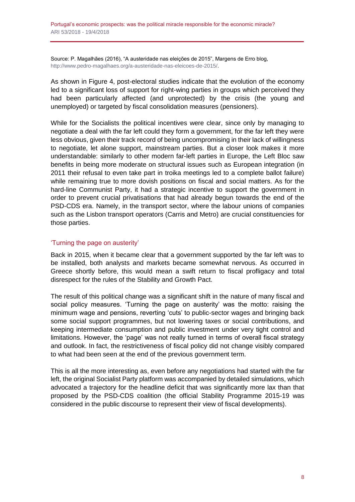Source: P. Magalhães (2016), "A austeridade nas eleições de 2015", Margens de Erro blog, [http://www.pedro-magalhaes.org/a-austeridade-nas-eleicoes-de-2015/.](http://www.pedro-magalhaes.org/a-austeridade-nas-eleicoes-de-2015/)

As shown in Figure 4, post-electoral studies indicate that the evolution of the economy led to a significant loss of support for right-wing parties in groups which perceived they had been particularly affected (and unprotected) by the crisis (the young and unemployed) or targeted by fiscal consolidation measures (pensioners).

While for the Socialists the political incentives were clear, since only by managing to negotiate a deal with the far left could they form a government, for the far left they were less obvious, given their track record of being uncompromising in their lack of willingness to negotiate, let alone support, mainstream parties. But a closer look makes it more understandable: similarly to other modern far-left parties in Europe, the Left Bloc saw benefits in being more moderate on structural issues such as European integration (in 2011 their refusal to even take part in troika meetings led to a complete ballot failure) while remaining true to more dovish positions on fiscal and social matters. As for the hard-line Communist Party, it had a strategic incentive to support the government in order to prevent crucial privatisations that had already begun towards the end of the PSD-CDS era. Namely, in the transport sector, where the labour unions of companies such as the Lisbon transport operators (Carris and Metro) are crucial constituencies for those parties.

## 'Turning the page on austerity'

Back in 2015, when it became clear that a government supported by the far left was to be installed, both analysts and markets became somewhat nervous. As occurred in Greece shortly before, this would mean a swift return to fiscal profligacy and total disrespect for the rules of the Stability and Growth Pact.

The result of this political change was a significant shift in the nature of many fiscal and social policy measures. 'Turning the page on austerity' was the motto: raising the minimum wage and pensions, reverting 'cuts' to public-sector wages and bringing back some social support programmes, but not lowering taxes or social contributions, and keeping intermediate consumption and public investment under very tight control and limitations. However, the 'page' was not really turned in terms of overall fiscal strategy and outlook. In fact, the restrictiveness of fiscal policy did not change visibly compared to what had been seen at the end of the previous government term.

This is all the more interesting as, even before any negotiations had started with the far left, the original Socialist Party platform was accompanied by detailed simulations, which advocated a trajectory for the headline deficit that was significantly more lax than that proposed by the PSD-CDS coalition (the official Stability Programme 2015-19 was considered in the public discourse to represent their view of fiscal developments).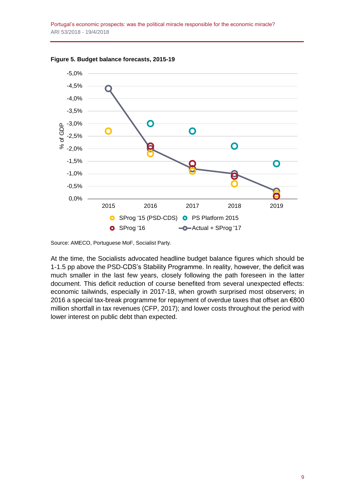

**Figure 5. Budget balance forecasts, 2015-19**

Source: AMECO, Portuguese MoF, Socialist Party.

At the time, the Socialists advocated headline budget balance figures which should be 1-1.5 pp above the PSD-CDS's Stability Programme. In reality, however, the deficit was much smaller in the last few years, closely following the path foreseen in the latter document. This deficit reduction of course benefited from several unexpected effects: economic tailwinds, especially in 2017-18, when growth surprised most observers; in 2016 a special tax-break programme for repayment of overdue taxes that offset an €800 million shortfall in tax revenues (CFP, 2017); and lower costs throughout the period with lower interest on public debt than expected.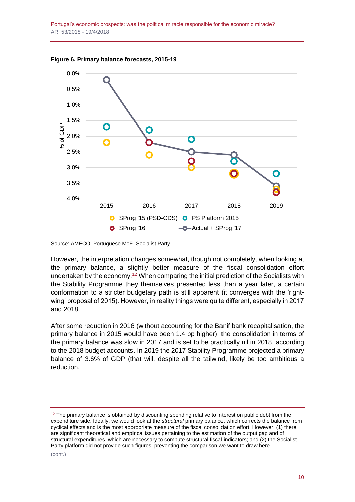Portugal's economic prospects: was the political miracle responsible for the economic miracle? ARI 53/2018 - 19/4/2018



**Figure 6. Primary balance forecasts, 2015-19**

Source: AMECO, Portuguese MoF, Socialist Party.

However, the interpretation changes somewhat, though not completely, when looking at the primary balance, a slightly better measure of the fiscal consolidation effort undertaken by the economy.<sup>12</sup> When comparing the initial prediction of the Socialists with the Stability Programme they themselves presented less than a year later, a certain conformation to a stricter budgetary path is still apparent (it converges with the 'rightwing' proposal of 2015). However, in reality things were quite different, especially in 2017 and 2018.

After some reduction in 2016 (without accounting for the Banif bank recapitalisation, the primary balance in 2015 would have been 1.4 pp higher), the consolidation in terms of the primary balance was slow in 2017 and is set to be practically nil in 2018, according to the 2018 budget accounts. In 2019 the 2017 Stability Programme projected a primary balance of 3.6% of GDP (that will, despite all the tailwind, likely be too ambitious a reduction.

 $12$  The primary balance is obtained by discounting spending relative to interest on public debt from the expenditure side. Ideally, we would look at the *structural* primary balance, which corrects the balance from cyclical effects and is the most appropriate measure of the fiscal consolidation effort. However, (1) there are significant theoretical and empirical issues pertaining to the estimation of the output gap and of structural expenditures, which are necessary to compute structural fiscal indicators; and (2) the Socialist Party platform did not provide such figures, preventing the comparison we want to draw here.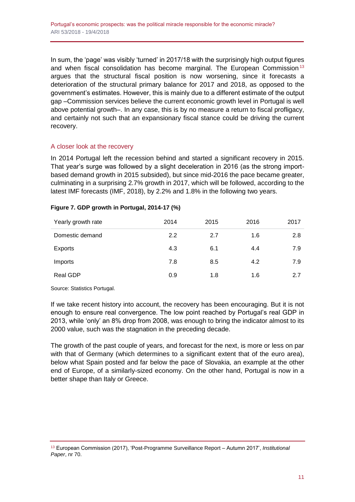In sum, the 'page' was visibly 'turned' in 2017/18 with the surprisingly high output figures and when fiscal consolidation has become marginal. The European Commission<sup>13</sup> argues that the structural fiscal position is now worsening, since it forecasts a deterioration of the structural primary balance for 2017 and 2018, as opposed to the government's estimates. However, this is mainly due to a different estimate of the output gap –Commission services believe the current economic growth level in Portugal is well above potential growth–. In any case, this is by no measure a return to fiscal profligacy, and certainly not such that an expansionary fiscal stance could be driving the current recovery.

#### A closer look at the recovery

In 2014 Portugal left the recession behind and started a significant recovery in 2015. That year's surge was followed by a slight deceleration in 2016 (as the strong importbased demand growth in 2015 subsided), but since mid-2016 the pace became greater, culminating in a surprising 2.7% growth in 2017, which will be followed, according to the latest IMF forecasts (IMF, 2018), by 2.2% and 1.8% in the following two years.

#### **Figure 7. GDP growth in Portugal, 2014-17 (%)**

| Yearly growth rate | 2014 | 2015 | 2016 | 2017 |
|--------------------|------|------|------|------|
| Domestic demand    | 2.2  | 2.7  | 1.6  | 2.8  |
| Exports            | 4.3  | 6.1  | 4.4  | 7.9  |
| Imports            | 7.8  | 8.5  | 4.2  | 7.9  |
| <b>Real GDP</b>    | 0.9  | 1.8  | 1.6  | 2.7  |

Source: Statistics Portugal.

If we take recent history into account, the recovery has been encouraging. But it is not enough to ensure real convergence. The low point reached by Portugal's real GDP in 2013, while 'only' an 8% drop from 2008, was enough to bring the indicator almost to its 2000 value, such was the stagnation in the preceding decade.

The growth of the past couple of years, and forecast for the next, is more or less on par with that of Germany (which determines to a significant extent that of the euro area), below what Spain posted and far below the pace of Slovakia, an example at the other end of Europe, of a similarly-sized economy. On the other hand, Portugal is now in a better shape than Italy or Greece.

<sup>13</sup> European Commission (2017), 'Post-Programme Surveillance Report – Autumn 2017', *Institutional Paper*, nr 70.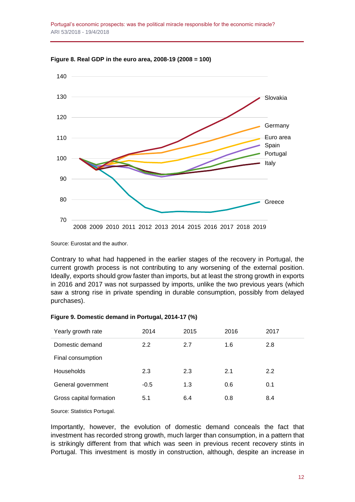Portugal's economic prospects: was the political miracle responsible for the economic miracle? ARI 53/2018 - 19/4/2018



**Figure 8. Real GDP in the euro area, 2008-19 (2008 = 100)**

Source: Eurostat and the author.

Contrary to what had happened in the earlier stages of the recovery in Portugal, the current growth process is not contributing to any worsening of the external position. Ideally, exports should grow faster than imports, but at least the strong growth in exports in 2016 and 2017 was not surpassed by imports, unlike the two previous years (which saw a strong rise in private spending in durable consumption, possibly from delayed purchases).

| Figure 9. Domestic demand in Portugal, 2014-17 (%) |  |  |  |
|----------------------------------------------------|--|--|--|
|----------------------------------------------------|--|--|--|

| Yearly growth rate      | 2014   | 2015 | 2016 | 2017 |
|-------------------------|--------|------|------|------|
| Domestic demand         | 2.2    | 2.7  | 1.6  | 2.8  |
| Final consumption       |        |      |      |      |
| Households              | 2.3    | 2.3  | 2.1  | 2.2  |
| General government      | $-0.5$ | 1.3  | 0.6  | 0.1  |
| Gross capital formation | 5.1    | 6.4  | 0.8  | 8.4  |
| $\sim$<br>_______       |        |      |      |      |

Source: Statistics Portugal.

Importantly, however, the evolution of domestic demand conceals the fact that investment has recorded strong growth, much larger than consumption, in a pattern that is strikingly different from that which was seen in previous recent recovery stints in Portugal. This investment is mostly in construction, although, despite an increase in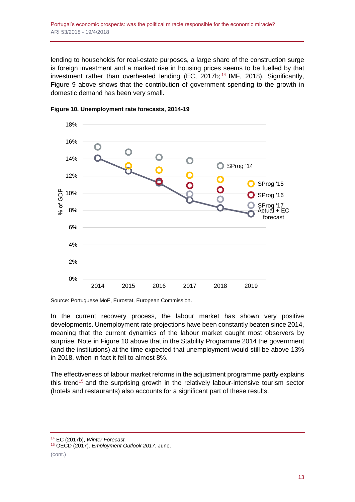lending to households for real-estate purposes, a large share of the construction surge is foreign investment and a marked rise in housing prices seems to be fuelled by that investment rather than overheated lending  $(EC, 2017b)$ ;  $^{14}$  IMF, 2018). Significantly, Figure 9 above shows that the contribution of government spending to the growth in domestic demand has been very small.





Source: Portuguese MoF, Eurostat, European Commission.

In the current recovery process, the labour market has shown very positive developments. Unemployment rate projections have been constantly beaten since 2014, meaning that the current dynamics of the labour market caught most observers by surprise. Note in Figure 10 above that in the Stability Programme 2014 the government (and the institutions) at the time expected that unemployment would still be above 13% in 2018, when in fact it fell to almost 8%.

The effectiveness of labour market reforms in the adjustment programme partly explains this trend<sup>15</sup> and the surprising growth in the relatively labour-intensive tourism sector (hotels and restaurants) also accounts for a significant part of these results.

<sup>14</sup> EC (2017b), *Winter Forecast.*

<sup>15</sup> OECD (2017). *Employment Outlook 2017*, June.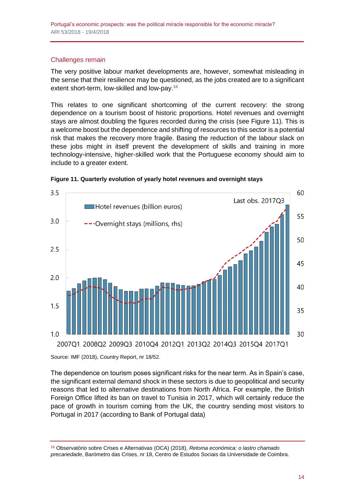#### Challenges remain

The very positive labour market developments are, however, somewhat misleading in the sense that their resilience may be questioned, as the jobs created are to a significant extent short-term, low-skilled and low-pay.<sup>16</sup>

This relates to one significant shortcoming of the current recovery: the strong dependence on a tourism boost of historic proportions. Hotel revenues and overnight stays are almost doubling the figures recorded during the crisis (see Figure 11). This is a welcome boost but the dependence and shifting of resources to this sector is a potential risk that makes the recovery more fragile. Basing the reduction of the labour slack on these jobs might in itself prevent the development of skills and training in more technology-intensive, higher-skilled work that the Portuguese economy should aim to include to a greater extent.





Source: IMF (2018), Country Report, nr 18/52.

The dependence on tourism poses significant risks for the near term. As in Spain's case, the significant external demand shock in these sectors is due to geopolitical and security reasons that led to alternative destinations from North Africa. For example, the British Foreign Office lifted its ban on travel to Tunisia in 2017, which will certainly reduce the pace of growth in tourism coming from the UK, the country sending most visitors to Portugal in 2017 (according to Bank of Portugal data)

<sup>16</sup> Observatório sobre Crises e Alternativas (OCA) (2018), *Retoma económica: o lastro chamado precariedade*, Barómetro das Crises, nr 18, Centro de Estudos Sociais da Universidade de Coimbra.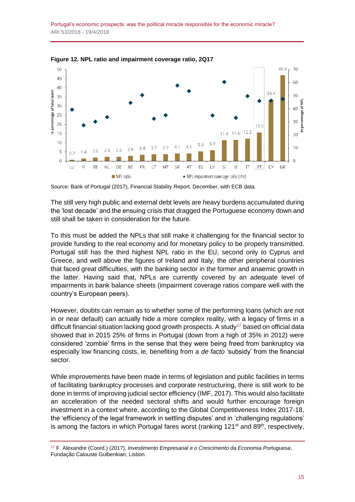Portugal's economic prospects: was the political miracle responsible for the economic miracle? ARI 53/2018 - 19/4/2018



**Figure 12. NPL ratio and impairment coverage ratio, 2Q17**

Source: Bank of Portugal (2017), Financial Stability Report, December, with ECB data.

The still very high public and external debt levels are heavy burdens accumulated during the 'lost decade' and the ensuing crisis that dragged the Portuguese economy down and still shall be taken in consideration for the future.

To this must be added the NPLs that still make it challenging for the financial sector to provide funding to the real economy and for monetary policy to be properly transmitted. Portugal still has the third highest NPL ratio in the EU, second only to Cyprus and Greece, and well above the figures of Ireland and Italy, the other peripheral countries that faced great difficulties, with the banking sector in the former and anaemic growth in the latter. Having said that, NPLs are currently covered by an adequate level of impairments in bank balance sheets (impairment coverage ratios compare well with the country's European peers).

However, doubts can remain as to whether some of the performing loans (which are not in or near default) can actually hide a more complex reality, with a legacy of firms in a difficult financial situation lacking good growth prospects. A study<sup>17</sup> based on official data showed that in 2015 25% of firms in Portugal (down from a high of 35% in 2012) were considered 'zombie' firms in the sense that they were being freed from bankruptcy via especially low financing costs, ie, benefiting from a *de facto* 'subsidy' from the financial sector.

While improvements have been made in terms of legislation and public facilities in terms of facilitating bankruptcy processes and corporate restructuring, there is still work to be done in terms of improving judicial sector efficiency (IMF, 2017). This would also facilitate an acceleration of the needed sectoral shifts and would further encourage foreign investment in a context where, according to the Global Competitiveness Index 2017-18, the 'efficiency of the legal framework in settling disputes' and in 'challenging regulations' is among the factors in which Portugal fares worst (ranking 121<sup>st</sup> and 89<sup>th</sup>, respectively,

<sup>17</sup> F. Alexandre (Coord.) (2017), *Investimento Empresarial e o Crescimento da Economia Portuguesa*, Fundação Calouste Gulbenkian, Lisbon.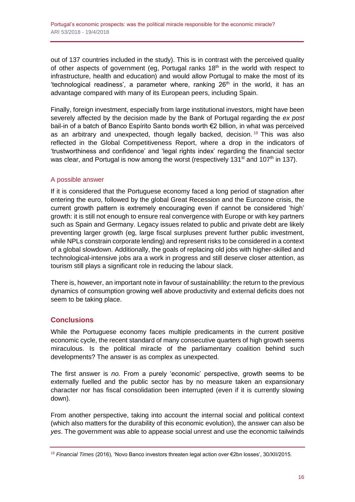out of 137 countries included in the study). This is in contrast with the perceived quality of other aspects of government (eg, Portugal ranks  $18<sup>th</sup>$  in the world with respect to infrastructure, health and education) and would allow Portugal to make the most of its 'technological readiness', a parameter where, ranking  $26<sup>th</sup>$  in the world, it has an advantage compared with many of its European peers, including Spain.

Finally, foreign investment, especially from large institutional investors, might have been severely affected by the decision made by the Bank of Portugal regarding the *ex post*  bail-in of a batch of Banco Espírito Santo bonds worth €2 billion, in what was perceived as an arbitrary and unexpected, though legally backed, decision.<sup>18</sup> This was also reflected in the Global Competitiveness Report, where a drop in the indicators of 'trustworthiness and confidence' and 'legal rights index' regarding the financial sector was clear, and Portugal is now among the worst (respectively 131<sup>st</sup> and 107<sup>th</sup> in 137).

#### A possible answer

If it is considered that the Portuguese economy faced a long period of stagnation after entering the euro, followed by the global Great Recession and the Eurozone crisis, the current growth pattern is extremely encouraging even if cannot be considered 'high' growth: it is still not enough to ensure real convergence with Europe or with key partners such as Spain and Germany. Legacy issues related to public and private debt are likely preventing larger growth (eg, large fiscal surpluses prevent further public investment, while NPLs constrain corporate lending) and represent risks to be considered in a context of a global slowdown. Additionally, the goals of replacing old jobs with higher-skilled and technological-intensive jobs ara a work in progress and still deserve closer attention, as tourism still plays a significant role in reducing the labour slack.

There is, however, an important note in favour of sustainablility: the return to the previous dynamics of consumption growing well above productivity and external deficits does not seem to be taking place.

# **Conclusions**

While the Portuguese economy faces multiple predicaments in the current positive economic cycle, the recent standard of many consecutive quarters of high growth seems miraculous. Is the political miracle of the parliamentary coalition behind such developments? The answer is as complex as unexpected.

The first answer is *no.* From a purely 'economic' perspective, growth seems to be externally fuelled and the public sector has by no measure taken an expansionary character nor has fiscal consolidation been interrupted (even if it is currently slowing down).

From another perspective, taking into account the internal social and political context (which also matters for the durability of this economic evolution), the answer can also be *yes*. The government was able to appease social unrest and use the economic tailwinds

<sup>18</sup> *Financial Times* (2016), 'Novo Banco investors threaten legal action over €2bn losses', 30/XII/2015.